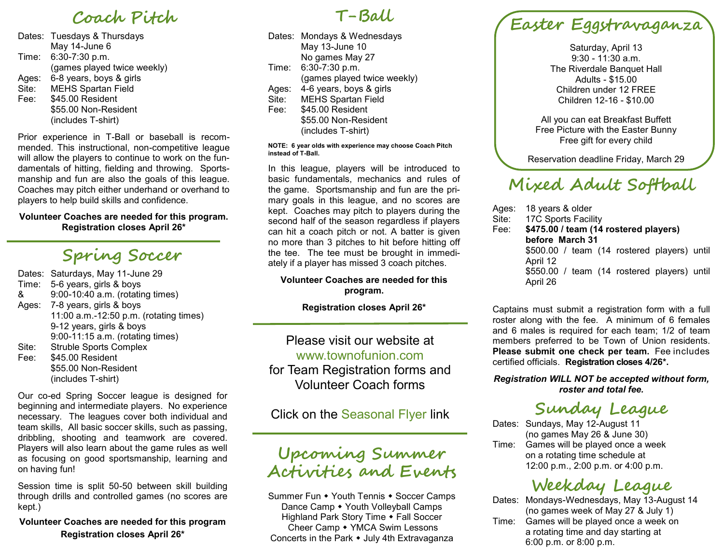# **Coach Pitch**

Dates: Tuesdays & Thursdays May 14-June 6 Time: 6:30-7:30 p.m. (games played twice weekly) Ages: 6-8 years, boys & girls Site: MEHS Spartan Field Fee: \$45.00 Resident \$55.00 Non-Resident (includes T-shirt)

Prior experience in T-Ball or baseball is recommended. This instructional, non-competitive league will allow the players to continue to work on the fundamentals of hitting, fielding and throwing. Sportsmanship and fun are also the goals of this league. Coaches may pitch either underhand or overhand to players to help build skills and confidence.

#### **Volunteer Coaches are needed for this program. Registration closes April 26\***

# **Spring Soccer**

Dates: Saturdays, May 11-June 29 Time: 5-6 years, girls & boys & 9:00-10:40 a.m. (rotating times) Ages: 7-8 years, girls & boys 11:00 a.m.-12:50 p.m. (rotating times) 9-12 years, girls & boys 9:00-11:15 a.m. (rotating times) Site: Struble Sports Complex Fee: \$45.00 Resident \$55.00 Non-Resident (includes T-shirt)

Our co-ed Spring Soccer league is designed for beginning and intermediate players. No experience necessary. The leagues cover both individual and team skills, All basic soccer skills, such as passing, dribbling, shooting and teamwork are covered. Players will also learn about the game rules as well as focusing on good sportsmanship, learning and on having fun!

Session time is split 50-50 between skill building through drills and controlled games (no scores are kept.)

**Volunteer Coaches are needed for this program Registration closes April 26\***

### **T-Ball**

Dates: Mondays & Wednesdays May 13-June 10 No games May 27 Time: 6:30-7:30 p.m. (games played twice weekly) Ages: 4-6 years, boys & girls Site: MEHS Spartan Field Fee: \$45.00 Resident \$55.00 Non-Resident (includes T-shirt)

#### **NOTE: 6 year olds with experience may choose Coach Pitch instead of T-Ball.**

In this league, players will be introduced to basic fundamentals, mechanics and rules of the game. Sportsmanship and fun are the primary goals in this league, and no scores are kept. Coaches may pitch to players during the second half of the season regardless if players can hit a coach pitch or not. A batter is given no more than 3 pitches to hit before hitting off the tee. The tee must be brought in immediately if a player has missed 3 coach pitches.

#### **Volunteer Coaches are needed for this program.**

**Registration closes April 26\***

Please visit our website at www.townofunion.com for Team Registration forms and Volunteer Coach forms

Click on the Seasonal Flyer link

## **Upcoming Summer Activities and Events**

Summer Fun • Youth Tennis • Soccer Camps Dance Camp • Youth Volleyball Camps Highland Park Story Time • Fall Soccer Cheer Camp • YMCA Swim Lessons Concerts in the Park • July 4th Extravaganza

# **Easter Eggstravaganza**

Saturday, April 13 9:30 - 11:30 a.m. The Riverdale Banquet Hall Adults - \$15.00 Children under 12 FREE Children 12-16 - \$10.00

All you can eat Breakfast Buffett Free Picture with the Easter Bunny Free gift for every child

Reservation deadline Friday, March 29

# **Mixed Adult Softball**

Ages: 18 years & older Site: 17C Sports Facility Fee: **\$475.00 / team (14 rostered players) before March 31** \$500.00 / team (14 rostered players) until April 12 \$550.00 / team (14 rostered players) until April 26

Captains must submit a registration form with a full roster along with the fee. A minimum of 6 females and 6 males is required for each team; 1/2 of team members preferred to be Town of Union residents. **Please submit one check per team.** Fee includes certified officials. **Registration closes 4/26\*.** 

*Registration WILL NOT be accepted without form, roster and total fee.*

# **Sunday League**

Dates: Sundays, May 12-August 11 (no games May 26 & June 30) Time: Games will be played once a week on a rotating time schedule at 12:00 p.m., 2:00 p.m. or 4:00 p.m.

# **Weekday League**

Dates: Mondays-Wednesdays, May 13-August 14 (no games week of May 27 & July 1)

Time: Games will be played once a week on a rotating time and day starting at 6:00 p.m. or 8:00 p.m.